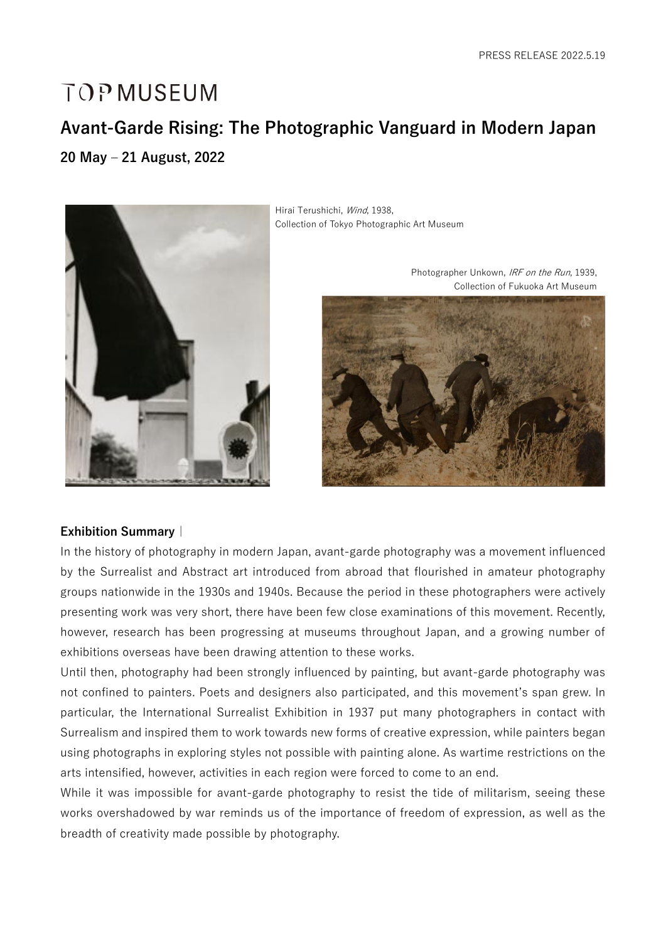# **TOP MUSEUM**

# **Avant-Garde Rising: The Photographic Vanguard in Modern Japan**

**20 May – 21 August, 2022**



Hirai Terushichi, Wind, 1938, Collection of Tokyo Photographic Art Museum



#### **Exhibition Summary|**

In the history of photography in modern Japan, avant-garde photography was a movement influenced by the Surrealist and Abstract art introduced from abroad that flourished in amateur photography groups nationwide in the 1930s and 1940s. Because the period in these photographers were actively presenting work was very short, there have been few close examinations of this movement. Recently, however, research has been progressing at museums throughout Japan, and a growing number of exhibitions overseas have been drawing attention to these works.

Until then, photography had been strongly influenced by painting, but avant-garde photography was not confined to painters. Poets and designers also participated, and this movement's span grew. In particular, the International Surrealist Exhibition in 1937 put many photographers in contact with Surrealism and inspired them to work towards new forms of creative expression, while painters began using photographs in exploring styles not possible with painting alone. As wartime restrictions on the arts intensified, however, activities in each region were forced to come to an end.

While it was impossible for avant-garde photography to resist the tide of militarism, seeing these works overshadowed by war reminds us of the importance of freedom of expression, as well as the breadth of creativity made possible by photography.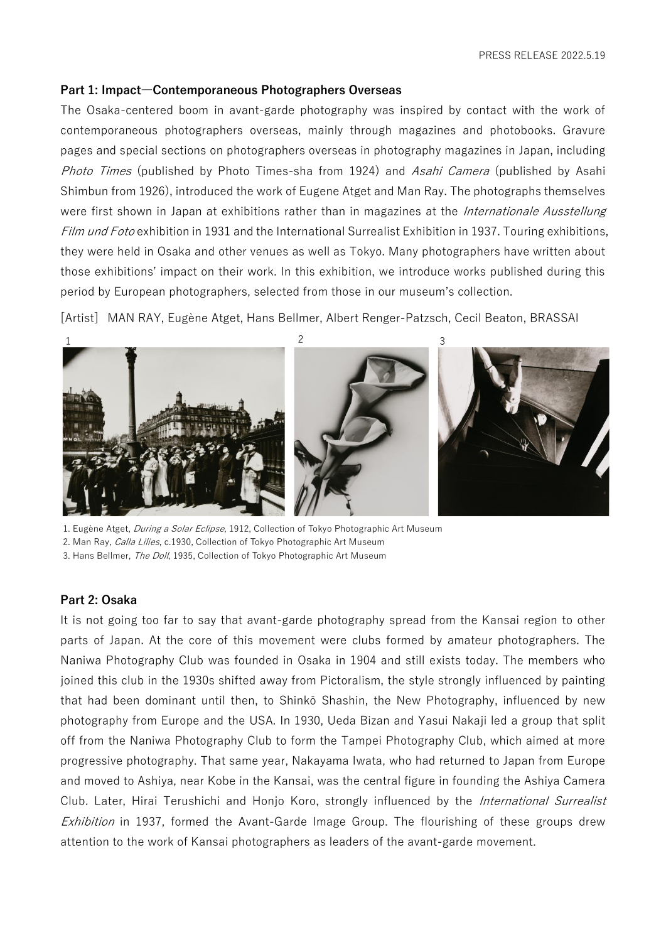#### **Part 1: Impact―Contemporaneous Photographers Overseas**

The Osaka-centered boom in avant-garde photography was inspired by contact with the work of contemporaneous photographers overseas, mainly through magazines and photobooks. Gravure pages and special sections on photographers overseas in photography magazines in Japan, including Photo Times (published by Photo Times-sha from 1924) and Asahi Camera (published by Asahi Shimbun from 1926), introduced the work of Eugene Atget and Man Ray. The photographs themselves were first shown in Japan at exhibitions rather than in magazines at the *Internationale Ausstellung* Film und Foto exhibition in 1931 and the International Surrealist Exhibition in 1937. Touring exhibitions, they were held in Osaka and other venues as well as Tokyo. Many photographers have written about those exhibitions' impact on their work. In this exhibition, we introduce works published during this period by European photographers, selected from those in our museum's collection.

[Artist] MAN RAY, Eugène Atget, Hans Bellmer, Albert Renger-Patzsch, Cecil Beaton, BRASSAI



1. Eugène Atget, During a Solar Eclipse, 1912, Collection of Tokyo Photographic Art Museum 2. Man Ray, Calla Lilies, c.1930, Collection of Tokyo Photographic Art Museum

# 3. Hans Bellmer, The Doll, 1935, Collection of Tokyo Photographic Art Museum

#### **Part 2: Osaka**

It is not going too far to say that avant-garde photography spread from the Kansai region to other parts of Japan. At the core of this movement were clubs formed by amateur photographers. The Naniwa Photography Club was founded in Osaka in 1904 and still exists today. The members who joined this club in the 1930s shifted away from Pictoralism, the style strongly influenced by painting that had been dominant until then, to Shinkō Shashin, the New Photography, influenced by new photography from Europe and the USA. In 1930, Ueda Bizan and Yasui Nakaji led a group that split off from the Naniwa Photography Club to form the Tampei Photography Club, which aimed at more progressive photography. That same year, Nakayama Iwata, who had returned to Japan from Europe and moved to Ashiya, near Kobe in the Kansai, was the central figure in founding the Ashiya Camera Club. Later, Hirai Terushichi and Honjo Koro, strongly influenced by the *International Surrealist Exhibition* in 1937, formed the Avant-Garde Image Group. The flourishing of these groups drew attention to the work of Kansai photographers as leaders of the avant-garde movement.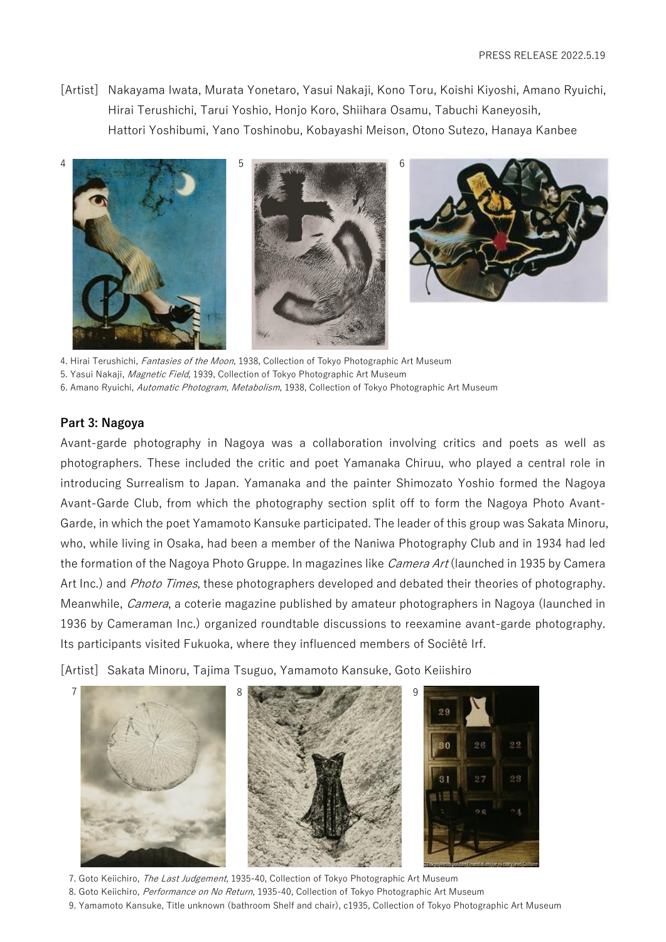[Artist] Nakayama Iwata, Murata Yonetaro, Yasui Nakaji, Kono Toru, Koishi Kiyoshi, Amano Ryuichi, Hirai Terushichi, Tarui Yoshio, Honjo Koro, Shiihara Osamu, Tabuchi Kaneyosih, Hattori Yoshibumi, Yano Toshinobu, Kobayashi Meison, Otono Sutezo, Hanaya Kanbee







4. Hirai Terushichi, Fantasies of the Moon, 1938, Collection of Tokyo Photographic Art Museum

5. Yasui Nakaji, Magnetic Field, 1939, Collection of Tokyo Photographic Art Museum

6. Amano Ryuichi, Automatic Photogram, Metabolism, 1938, Collection of Tokyo Photographic Art Museum

# **Part 3: Nagoya**

Avant-garde photography in Nagoya was a collaboration involving critics and poets as well as photographers. These included the critic and poet Yamanaka Chiruu, who played a central role in introducing Surrealism to Japan. Yamanaka and the painter Shimozato Yoshio formed the Nagoya Avant-Garde Club, from which the photography section split off to form the Nagoya Photo Avant-Garde, in which the poet Yamamoto Kansuke participated. The leader of this group was Sakata Minoru, who, while living in Osaka, had been a member of the Naniwa Photography Club and in 1934 had led the formation of the Nagoya Photo Gruppe. In magazines like *Camera Art* (launched in 1935 by Camera Art Inc.) and *Photo Times*, these photographers developed and debated their theories of photography. Meanwhile, *Camera*, a coterie magazine published by amateur photographers in Nagoya (launched in 1936 by Cameraman Inc.) organized roundtable discussions to reexamine avant-garde photography. Its participants visited Fukuoka, where they influenced members of Sociêtê Irf.

[Artist] Sakata Minoru, Tajima Tsuguo, Yamamoto Kansuke, Goto Keiishiro



7. Goto Keiichiro, *The Last Judgement*, 1935-40, Collection of Tokyo Photographic Art Museum

- 8. Goto Keiichiro, Performance on No Return, 1935-40, Collection of Tokyo Photographic Art Museum
- 9. Yamamoto Kansuke, Title unknown (bathroom Shelf and chair), c1935, Collection of Tokyo Photographic Art Museum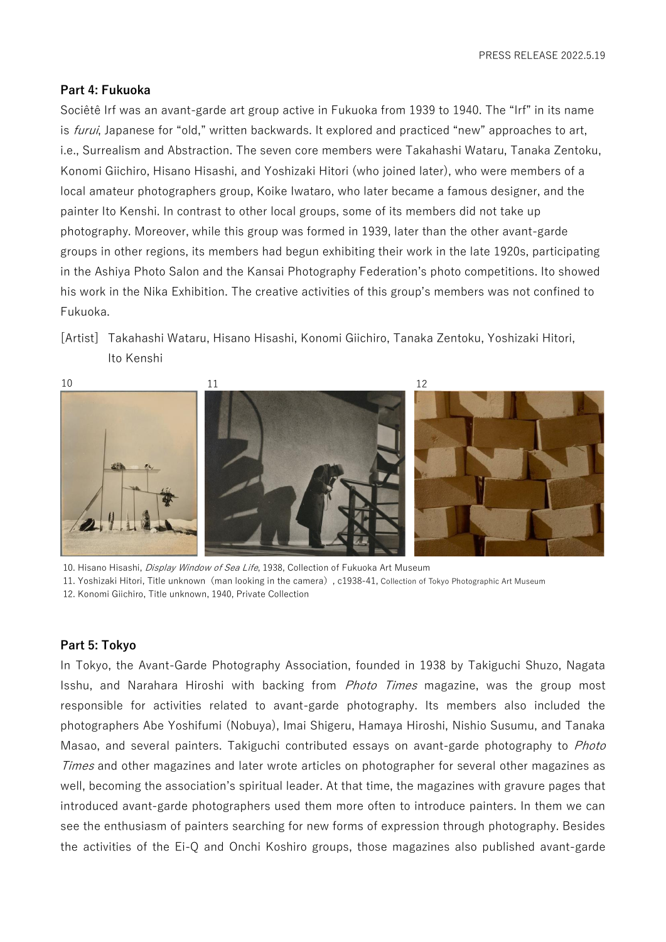#### **Part 4: Fukuoka**

Sociêtê Irf was an avant-garde art group active in Fukuoka from 1939 to 1940. The "Irf" in its name is *furui*, Japanese for "old," written backwards. It explored and practiced "new" approaches to art, i.e., Surrealism and Abstraction. The seven core members were Takahashi Wataru, Tanaka Zentoku, Konomi Giichiro, Hisano Hisashi, and Yoshizaki Hitori (who joined later), who were members of a local amateur photographers group, Koike Iwataro, who later became a famous designer, and the painter Ito Kenshi. In contrast to other local groups, some of its members did not take up photography. Moreover, while this group was formed in 1939, later than the other avant-garde groups in other regions, its members had begun exhibiting their work in the late 1920s, participating in the Ashiya Photo Salon and the Kansai Photography Federation's photo competitions. Ito showed his work in the Nika Exhibition. The creative activities of this group's members was not confined to Fukuoka.

[Artist] Takahashi Wataru, Hisano Hisashi, Konomi Giichiro, Tanaka Zentoku, Yoshizaki Hitori, Ito Kenshi



10. Hisano Hisashi, Display Window of Sea Life, 1938, Collection of Fukuoka Art Museum 11. Yoshizaki Hitori, Title unknown(man looking in the camera), c1938-41, Collection of Tokyo Photographic Art Museum 12. Konomi Giichiro, Title unknown, 1940, Private Collection

#### **Part 5: Tokyo**

In Tokyo, the Avant-Garde Photography Association, founded in 1938 by Takiguchi Shuzo, Nagata Isshu, and Narahara Hiroshi with backing from Photo Times magazine, was the group most responsible for activities related to avant-garde photography. Its members also included the photographers Abe Yoshifumi (Nobuya), Imai Shigeru, Hamaya Hiroshi, Nishio Susumu, and Tanaka Masao, and several painters. Takiguchi contributed essays on avant-garde photography to Photo Times and other magazines and later wrote articles on photographer for several other magazines as well, becoming the association's spiritual leader. At that time, the magazines with gravure pages that introduced avant-garde photographers used them more often to introduce painters. In them we can see the enthusiasm of painters searching for new forms of expression through photography. Besides the activities of the Ei-Q and Onchi Koshiro groups, those magazines also published avant-garde